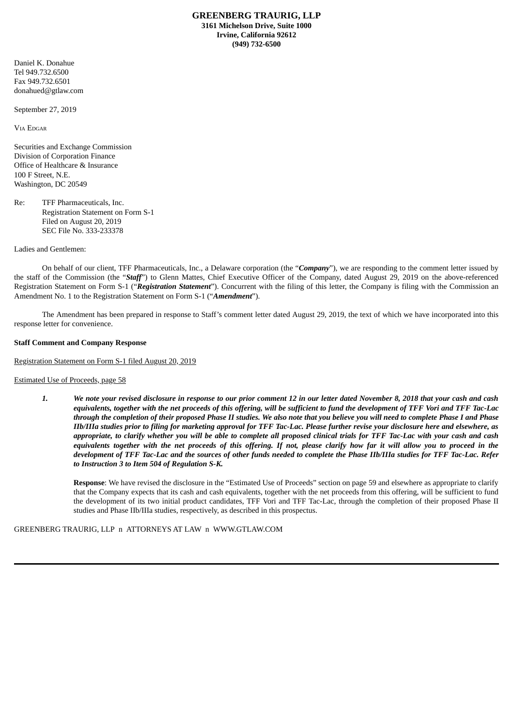Daniel K. Donahue Tel 949.732.6500 Fax 949.732.6501 donahued@gtlaw.com

September 27, 2019

VIA EDGAR

Securities and Exchange Commission Division of Corporation Finance Office of Healthcare & Insurance 100 F Street, N.E. Washington, DC 20549

Re: TFF Pharmaceuticals, Inc. Registration Statement on Form S-1 Filed on August 20, 2019 SEC File No. 333-233378

### Ladies and Gentlemen:

On behalf of our client, TFF Pharmaceuticals, Inc., a Delaware corporation (the "*Company*"), we are responding to the comment letter issued by the staff of the Commission (the "*Staff*") to Glenn Mattes, Chief Executive Officer of the Company, dated August 29, 2019 on the above-referenced Registration Statement on Form S-1 ("*Registration Statement*"). Concurrent with the filing of this letter, the Company is filing with the Commission an Amendment No. 1 to the Registration Statement on Form S-1 ("*Amendment*").

The Amendment has been prepared in response to Staff's comment letter dated August 29, 2019, the text of which we have incorporated into this response letter for convenience.

#### **Staff Comment and Company Response**

Registration Statement on Form S-1 filed August 20, 2019

#### Estimated Use of Proceeds, page 58

1. We note your revised disclosure in response to our prior comment 12 in our letter dated November 8, 2018 that your cash and cash equivalents, together with the net proceeds of this offering, will be sufficient to fund the development of TFF Vori and TFF Tac-Lac through the completion of their proposed Phase II studies. We also note that you believe you will need to complete Phase I and Phase IIb/IIIa studies prior to filing for marketing approval for TFF Tac-Lac. Please further revise vour disclosure here and elsewhere, as appropriate, to clarify whether you will be able to complete all proposed clinical trials for TFF Tac-Lac with your cash and cash equivalents together with the net proceeds of this offering. If not, please clarify how far it will allow you to proceed in the development of TFF Tac-Lac and the sources of other funds needed to complete the Phase IIb/IIIa studies for TFF Tac-Lac. Refer *to Instruction 3 to Item 504 of Regulation S-K.*

**Response**: We have revised the disclosure in the "Estimated Use of Proceeds" section on page 59 and elsewhere as appropriate to clarify that the Company expects that its cash and cash equivalents, together with the net proceeds from this offering, will be sufficient to fund the development of its two initial product candidates, TFF Vori and TFF Tac-Lac, through the completion of their proposed Phase II studies and Phase IIb/IIIa studies, respectively, as described in this prospectus.

### GREENBERG TRAURIG, LLP n ATTORNEYS AT LAW n WWW.GTLAW.COM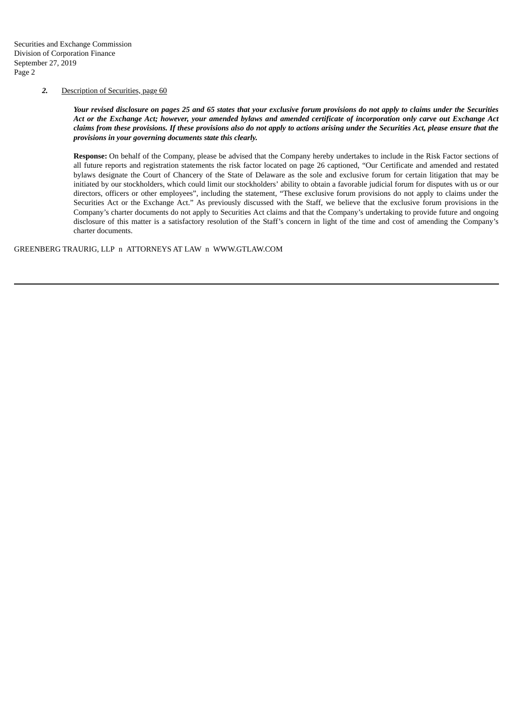# *2.* Description of Securities, page 60

Your revised disclosure on pages 25 and 65 states that your exclusive forum provisions do not apply to claims under the Securities Act or the Exchange Act; however, your amended bylaws and amended certificate of incorporation only carve out Exchange Act claims from these provisions. If these provisions also do not apply to actions arising under the Securities Act, please ensure that the *provisions in your governing documents state this clearly.*

**Response:** On behalf of the Company, please be advised that the Company hereby undertakes to include in the Risk Factor sections of all future reports and registration statements the risk factor located on page 26 captioned, "Our Certificate and amended and restated bylaws designate the Court of Chancery of the State of Delaware as the sole and exclusive forum for certain litigation that may be initiated by our stockholders, which could limit our stockholders' ability to obtain a favorable judicial forum for disputes with us or our directors, officers or other employees", including the statement, "These exclusive forum provisions do not apply to claims under the Securities Act or the Exchange Act." As previously discussed with the Staff, we believe that the exclusive forum provisions in the Company's charter documents do not apply to Securities Act claims and that the Company's undertaking to provide future and ongoing disclosure of this matter is a satisfactory resolution of the Staff's concern in light of the time and cost of amending the Company's charter documents.

## GREENBERG TRAURIG, LLP n ATTORNEYS AT LAW n WWW.GTLAW.COM